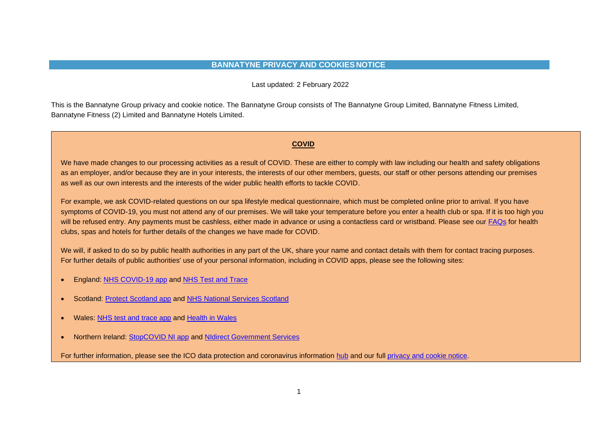## **BANNATYNE PRIVACY AND COOKIES NOTICE**

Last updated: 2 February 2022

This is the Bannatyne Group privacy and cookie notice. The Bannatyne Group consists of The Bannatyne Group Limited, Bannatyne Fitness Limited, Bannatyne Fitness (2) Limited and Bannatyne Hotels Limited.

## **COVID**

We have made changes to our processing activities as a result of COVID. These are either to comply with law including our health and safety obligations as an employer, and/or because they are in your interests, the interests of our other members, guests, our staff or other persons attending our premises as well as our own interests and the interests of the wider public health efforts to tackle COVID.

For example, we ask COVID-related questions on our spa lifestyle medical questionnaire, which must be completed online prior to arrival. If you have symptoms of COVID-19, you must not attend any of our premises. We will take your temperature before you enter a health club or spa. If it is too high you will be refused entry. Any payments must be cashless, either made in advance or using a contactless card or wristband. Please see our [FAQs](https://www.bannatyne.co.uk/help-and-support) for health clubs, spas and hotels for further details of the changes we have made for COVID.

We will, if asked to do so by public health authorities in any part of the UK, share your name and contact details with them for contact tracing purposes. For further details of public authorities' use of your personal information, including in COVID apps, please see the following sites:

- England: [NHS COVID-19 app](https://www.covid19.nhs.uk/privacy-and-data.html) and [NHS Test and Trace](https://contact-tracing.phe.gov.uk/help/privacy-notice)
- Scotland: [Protect Scotland app](https://protect.scot/how-we-use-your-data) and [NHS National Services Scotland](https://nhsnss.org/how-nss-works/data-protection/)
- Wales: [NHS test and trace app](http://www.wales.nhs.uk/page/101703) and [Health in Wales](http://www.wales.nhs.uk/testtraceandprotectprivacydataprotectioninformation)
- Northern Ireland: [StopCOVID NI app](https://www.nidirect.gov.uk/articles/coronavirus-covid-19-stopcovid-ni-proximity-app) and [NIdirect Government Services](https://www.nidirect.gov.uk/articles/coronavirus-covid-19-testing-and-contact-tracing)

For further information, please see the ICO data protection and coronavirus information [hub](https://ico.org.uk/about-the-ico/news-and-events/news-and-blogs/2020/12/data-protection-and-coronavirus/) and our full [privacy and cookie notice.](https://www.bannatyne.co.uk/uploaded/bannatyne%20website%20privacy%20and%20cookies%20notice%20(june%202019).pdf)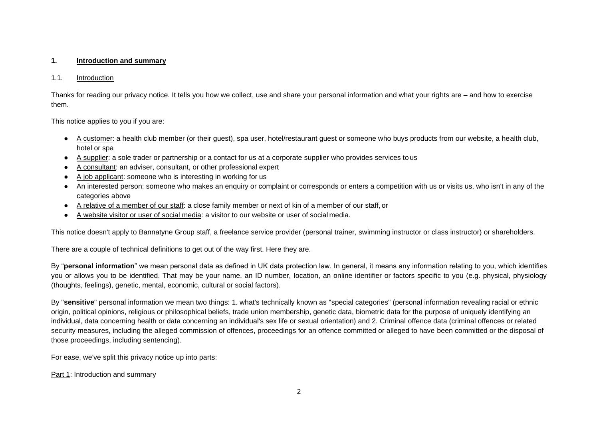## **1. Introduction and summary**

#### 1.1. Introduction

Thanks for reading our privacy notice. It tells you how we collect, use and share your personal information and what your rights are – and how to exercise them.

This notice applies to you if you are:

- A customer: a health club member (or their guest), spa user, hotel/restaurant guest or someone who buys products from our website, a health club, hotel or spa
- A supplier: a sole trader or partnership or a contact for us at a corporate supplier who provides services to us
- A consultant: an adviser, consultant, or other professional expert
- A job applicant: someone who is interesting in working for us
- An interested person: someone who makes an enquiry or complaint or corresponds or enters a competition with us or visits us, who isn't in any of the categories above
- A relative of a member of our staff: a close family member or next of kin of a member of our staff, or
- A website visitor or user of social media: a visitor to our website or user of social media.

This notice doesn't apply to Bannatyne Group staff, a freelance service provider (personal trainer, swimming instructor or class instructor) or shareholders.

There are a couple of technical definitions to get out of the way first. Here they are.

By "**personal information**" we mean personal data as defined in UK data protection law. In general, it means any information relating to you, which identifies you or allows you to be identified. That may be your name, an ID number, location, an online identifier or factors specific to you (e.g. physical, physiology (thoughts, feelings), genetic, mental, economic, cultural or social factors).

By "**sensitive**" personal information we mean two things: 1. what's technically known as "special categories" (personal information revealing racial or ethnic origin, political opinions, religious or philosophical beliefs, trade union membership, genetic data, biometric data for the purpose of uniquely identifying an individual, data concerning health or data concerning an individual's sex life or sexual orientation) and 2. Criminal offence data (criminal offences or related security measures, including the alleged commission of offences, proceedings for an offence committed or alleged to have been committed or the disposal of those proceedings, including sentencing).

For ease, we've split this privacy notice up into parts:

Part 1: Introduction and summary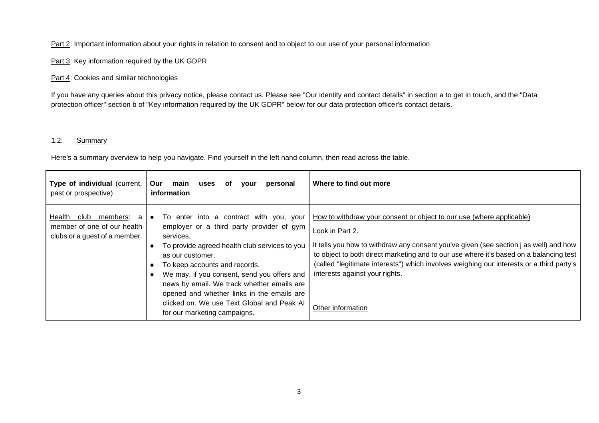Part 2: Important information about your rights in relation to consent and to object to our use of your personal information

Part 3: Key information required by the UK GDPR

Part 4: Cookies and similar technologies

If you have any queries about this privacy notice, please contact us. Please see "Our identity and contact details" in section a to get in touch, and the "Data protection officer" section b of "Key information required by the UK GDPR" below for our data protection officer's contact details.

## 1.2. Summary

Here's a summary overview to help you navigate. Find yourself in the left hand column, then read across the table.

| Type of individual (current,<br>past or prospective)                                            | Our<br>personal<br>main<br>uses<br><b>vour</b><br>0t<br>information                                                                                                                                                                                                                                                                                                                                                                           | Where to find out more                                                                                                                                                                                                                                                                                                                                                                                                        |
|-------------------------------------------------------------------------------------------------|-----------------------------------------------------------------------------------------------------------------------------------------------------------------------------------------------------------------------------------------------------------------------------------------------------------------------------------------------------------------------------------------------------------------------------------------------|-------------------------------------------------------------------------------------------------------------------------------------------------------------------------------------------------------------------------------------------------------------------------------------------------------------------------------------------------------------------------------------------------------------------------------|
| club<br>members:<br>Health<br>a<br>member of one of our health<br>clubs or a guest of a member. | To enter into a contract with you, your<br>$\bullet$<br>employer or a third party provider of gym<br>services.<br>To provide agreed health club services to you<br>as our customer.<br>To keep accounts and records.<br>We may, if you consent, send you offers and<br>news by email. We track whether emails are<br>opened and whether links in the emails are<br>clicked on. We use Text Global and Peak AI<br>for our marketing campaigns. | How to withdraw your consent or object to our use (where applicable)<br>Look in Part 2.<br>It tells you how to withdraw any consent you've given (see section j as well) and how<br>to object to both direct marketing and to our use where it's based on a balancing test<br>(called "legitimate interests") which involves weighing our interests or a third party's<br>interests against your rights.<br>Other information |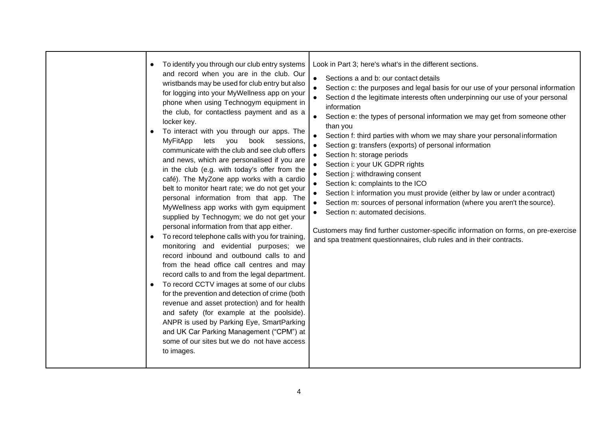|  | To identify you through our club entry systems<br>and record when you are in the club. Our<br>wristbands may be used for club entry but also<br>for logging into your MyWellness app on your<br>phone when using Technogym equipment in<br>the club, for contactless payment and as a<br>locker key.<br>To interact with you through our apps. The<br><b>MyFitApp</b><br>lets<br>you<br>book<br>sessions,<br>communicate with the club and see club offers<br>and news, which are personalised if you are<br>in the club (e.g. with today's offer from the<br>café). The MyZone app works with a cardio<br>belt to monitor heart rate; we do not get your<br>personal information from that app. The<br>MyWellness app works with gym equipment<br>supplied by Technogym; we do not get your<br>personal information from that app either.<br>To record telephone calls with you for training,<br>monitoring and evidential purposes; we<br>record inbound and outbound calls to and<br>from the head office call centres and may<br>record calls to and from the legal department.<br>To record CCTV images at some of our clubs<br>$\bullet$<br>for the prevention and detection of crime (both<br>revenue and asset protection) and for health<br>and safety (for example at the poolside).<br>ANPR is used by Parking Eye, SmartParking<br>and UK Car Parking Management ("CPM") at<br>some of our sites but we do not have access<br>to images. | Look in Part 3; here's what's in the different sections.<br>Sections a and b: our contact details<br>$\bullet$<br>Section c: the purposes and legal basis for our use of your personal information<br>Section d the legitimate interests often underpinning our use of your personal<br>information<br>Section e: the types of personal information we may get from someone other<br>$\bullet$<br>than you<br>Section f: third parties with whom we may share your personal information<br>Section g: transfers (exports) of personal information<br>Section h: storage periods<br>Section i: your UK GDPR rights<br>Section j: withdrawing consent<br>Section k: complaints to the ICO<br>Section I: information you must provide (either by law or under a contract)<br>Section m: sources of personal information (where you aren't the source).<br>Section n: automated decisions.<br>Customers may find further customer-specific information on forms, on pre-exercise<br>and spa treatment questionnaires, club rules and in their contracts. |
|--|------------------------------------------------------------------------------------------------------------------------------------------------------------------------------------------------------------------------------------------------------------------------------------------------------------------------------------------------------------------------------------------------------------------------------------------------------------------------------------------------------------------------------------------------------------------------------------------------------------------------------------------------------------------------------------------------------------------------------------------------------------------------------------------------------------------------------------------------------------------------------------------------------------------------------------------------------------------------------------------------------------------------------------------------------------------------------------------------------------------------------------------------------------------------------------------------------------------------------------------------------------------------------------------------------------------------------------------------------------------------------------------------------------------------------------------------------|------------------------------------------------------------------------------------------------------------------------------------------------------------------------------------------------------------------------------------------------------------------------------------------------------------------------------------------------------------------------------------------------------------------------------------------------------------------------------------------------------------------------------------------------------------------------------------------------------------------------------------------------------------------------------------------------------------------------------------------------------------------------------------------------------------------------------------------------------------------------------------------------------------------------------------------------------------------------------------------------------------------------------------------------------|
|--|------------------------------------------------------------------------------------------------------------------------------------------------------------------------------------------------------------------------------------------------------------------------------------------------------------------------------------------------------------------------------------------------------------------------------------------------------------------------------------------------------------------------------------------------------------------------------------------------------------------------------------------------------------------------------------------------------------------------------------------------------------------------------------------------------------------------------------------------------------------------------------------------------------------------------------------------------------------------------------------------------------------------------------------------------------------------------------------------------------------------------------------------------------------------------------------------------------------------------------------------------------------------------------------------------------------------------------------------------------------------------------------------------------------------------------------------------|------------------------------------------------------------------------------------------------------------------------------------------------------------------------------------------------------------------------------------------------------------------------------------------------------------------------------------------------------------------------------------------------------------------------------------------------------------------------------------------------------------------------------------------------------------------------------------------------------------------------------------------------------------------------------------------------------------------------------------------------------------------------------------------------------------------------------------------------------------------------------------------------------------------------------------------------------------------------------------------------------------------------------------------------------|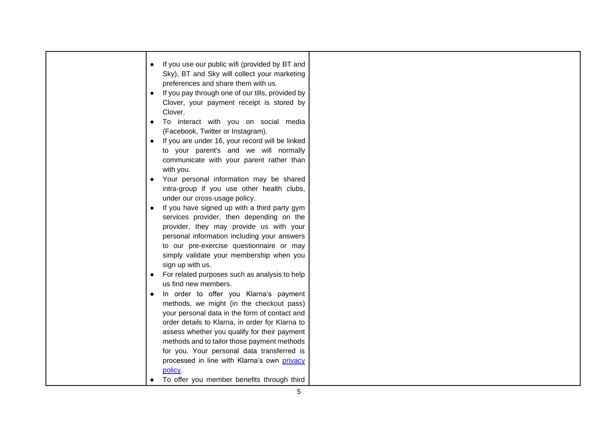| If you use our public wifi (provided by BT and<br>Sky), BT and Sky will collect your marketing<br>preferences and share them with us.<br>If you pay through one of our tills, provided by<br>Clover, your payment receipt is stored by<br>Clover.<br>To interact with you on social media<br>(Facebook, Twitter or Instagram).<br>If you are under 16, your record will be linked<br>to your parent's and we will normally<br>communicate with your parent rather than<br>with you.<br>Your personal information may be shared<br>intra-group if you use other health clubs,<br>under our cross-usage policy.<br>If you have signed up with a third party gym<br>services provider, then depending on the<br>provider, they may provide us with your<br>personal information including your answers<br>to our pre-exercise questionnaire or may<br>simply validate your membership when you<br>sign up with us.<br>For related purposes such as analysis to help<br>us find new members.<br>In order to offer you Klarna's payment<br>methods, we might (in the checkout pass)<br>your personal data in the form of contact and<br>order details to Klarna, in order for Klarna to<br>assess whether you qualify for their payment<br>methods and to tailor those payment methods |  |
|-----------------------------------------------------------------------------------------------------------------------------------------------------------------------------------------------------------------------------------------------------------------------------------------------------------------------------------------------------------------------------------------------------------------------------------------------------------------------------------------------------------------------------------------------------------------------------------------------------------------------------------------------------------------------------------------------------------------------------------------------------------------------------------------------------------------------------------------------------------------------------------------------------------------------------------------------------------------------------------------------------------------------------------------------------------------------------------------------------------------------------------------------------------------------------------------------------------------------------------------------------------------------------------|--|
| for you. Your personal data transferred is<br>processed in line with Klarna's own privacy<br>policy.<br>To offer you member benefits through third                                                                                                                                                                                                                                                                                                                                                                                                                                                                                                                                                                                                                                                                                                                                                                                                                                                                                                                                                                                                                                                                                                                                |  |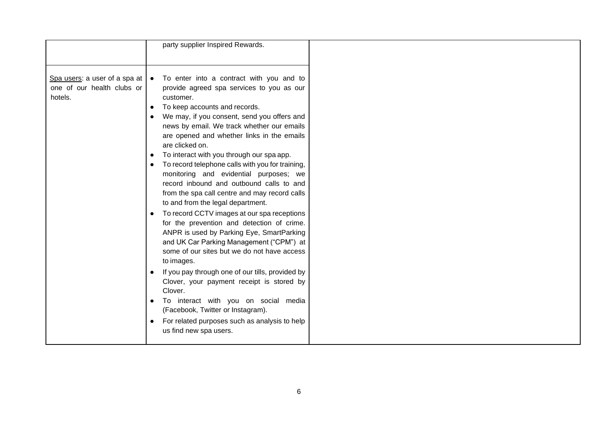|                            |           | party supplier Inspired Rewards.                                                              |
|----------------------------|-----------|-----------------------------------------------------------------------------------------------|
|                            |           |                                                                                               |
|                            |           |                                                                                               |
|                            |           | Spa users: a user of a spa at $\bullet$ To enter into a contract with you and to              |
| one of our health clubs or |           | provide agreed spa services to you as our                                                     |
| hotels.                    |           | customer.                                                                                     |
|                            | $\bullet$ | To keep accounts and records.                                                                 |
|                            |           | We may, if you consent, send you offers and                                                   |
|                            |           | news by email. We track whether our emails                                                    |
|                            |           | are opened and whether links in the emails<br>are clicked on.                                 |
|                            | $\bullet$ | To interact with you through our spa app.                                                     |
|                            |           | To record telephone calls with you for training,                                              |
|                            |           | monitoring and evidential purposes; we                                                        |
|                            |           | record inbound and outbound calls to and                                                      |
|                            |           | from the spa call centre and may record calls                                                 |
|                            |           | to and from the legal department.                                                             |
|                            | $\bullet$ | To record CCTV images at our spa receptions                                                   |
|                            |           | for the prevention and detection of crime.                                                    |
|                            |           | ANPR is used by Parking Eye, SmartParking                                                     |
|                            |           | and UK Car Parking Management ("CPM") at                                                      |
|                            |           | some of our sites but we do not have access                                                   |
|                            |           | to images.                                                                                    |
|                            | $\bullet$ | If you pay through one of our tills, provided by<br>Clover, your payment receipt is stored by |
|                            |           | Clover.                                                                                       |
|                            |           | To interact with you on social media                                                          |
|                            |           | (Facebook, Twitter or Instagram).                                                             |
|                            |           | For related purposes such as analysis to help                                                 |
|                            |           | us find new spa users.                                                                        |
|                            |           |                                                                                               |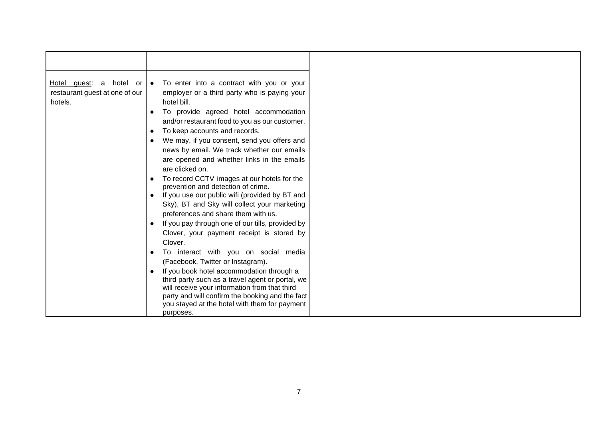|                                | Hotel guest: a hotel or $\bullet$ To enter into a contract with you or your |
|--------------------------------|-----------------------------------------------------------------------------|
| restaurant guest at one of our | employer or a third party who is paying your                                |
| hotels.                        | hotel bill.                                                                 |
|                                | To provide agreed hotel accommodation                                       |
|                                | and/or restaurant food to you as our customer.                              |
|                                |                                                                             |
|                                | To keep accounts and records.<br>$\bullet$                                  |
|                                | We may, if you consent, send you offers and                                 |
|                                | news by email. We track whether our emails                                  |
|                                | are opened and whether links in the emails                                  |
|                                | are clicked on.                                                             |
|                                | To record CCTV images at our hotels for the                                 |
|                                | prevention and detection of crime.                                          |
|                                | If you use our public wifi (provided by BT and<br>$\bullet$                 |
|                                |                                                                             |
|                                | Sky), BT and Sky will collect your marketing                                |
|                                | preferences and share them with us.                                         |
|                                | If you pay through one of our tills, provided by<br>$\bullet$               |
|                                | Clover, your payment receipt is stored by                                   |
|                                | Clover.                                                                     |
|                                | To interact with you on social media                                        |
|                                | (Facebook, Twitter or Instagram).                                           |
|                                |                                                                             |
|                                | If you book hotel accommodation through a                                   |
|                                | third party such as a travel agent or portal, we                            |
|                                | will receive your information from that third                               |
|                                | party and will confirm the booking and the fact                             |
|                                | you stayed at the hotel with them for payment                               |
|                                | purposes.                                                                   |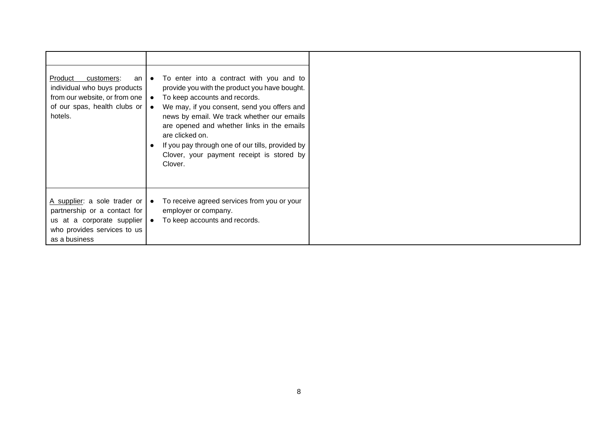| Product<br>customers:<br>an I<br>individual who buys products<br>from our website, or from one<br>of our spas, health clubs or<br>hotels.  | $\bullet$<br>$\bullet$<br>$\bullet$ | To enter into a contract with you and to<br>provide you with the product you have bought.<br>To keep accounts and records.<br>We may, if you consent, send you offers and<br>news by email. We track whether our emails<br>are opened and whether links in the emails<br>are clicked on.<br>If you pay through one of our tills, provided by<br>Clover, your payment receipt is stored by<br>Clover. |
|--------------------------------------------------------------------------------------------------------------------------------------------|-------------------------------------|------------------------------------------------------------------------------------------------------------------------------------------------------------------------------------------------------------------------------------------------------------------------------------------------------------------------------------------------------------------------------------------------------|
| A supplier: a sole trader or<br>partnership or a contact for<br>us at a corporate supplier<br>who provides services to us<br>as a business | $\bullet$                           | To receive agreed services from you or your<br>employer or company.<br>To keep accounts and records.                                                                                                                                                                                                                                                                                                 |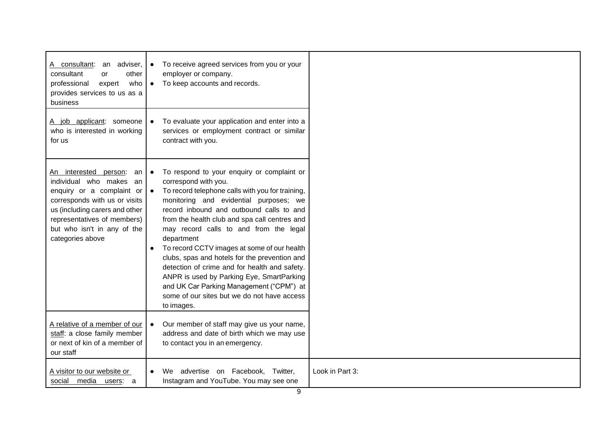| A consultant:<br>an adviser,<br>consultant<br>other<br>or<br>who<br>professional<br>expert<br>provides services to us as a<br>business                                                                                                      | $\bullet$<br>$\bullet$ | To receive agreed services from you or your<br>employer or company.<br>To keep accounts and records.                                                                                                                                                                                                                                                                                                                                                                                                                                                                                                                         |                 |
|---------------------------------------------------------------------------------------------------------------------------------------------------------------------------------------------------------------------------------------------|------------------------|------------------------------------------------------------------------------------------------------------------------------------------------------------------------------------------------------------------------------------------------------------------------------------------------------------------------------------------------------------------------------------------------------------------------------------------------------------------------------------------------------------------------------------------------------------------------------------------------------------------------------|-----------------|
| A job applicant: someone<br>who is interested in working<br>for us                                                                                                                                                                          | $\bullet$              | To evaluate your application and enter into a<br>services or employment contract or similar<br>contract with you.                                                                                                                                                                                                                                                                                                                                                                                                                                                                                                            |                 |
| An interested<br>person:<br>an<br>individual who makes an<br>enquiry or a complaint or<br>corresponds with us or visits<br>us (including carers and other<br>representatives of members)<br>but who isn't in any of the<br>categories above | $\bullet$<br>$\bullet$ | To respond to your enquiry or complaint or<br>correspond with you.<br>To record telephone calls with you for training,<br>monitoring and evidential purposes; we<br>record inbound and outbound calls to and<br>from the health club and spa call centres and<br>may record calls to and from the legal<br>department<br>To record CCTV images at some of our health<br>clubs, spas and hotels for the prevention and<br>detection of crime and for health and safety.<br>ANPR is used by Parking Eye, SmartParking<br>and UK Car Parking Management ("CPM") at<br>some of our sites but we do not have access<br>to images. |                 |
| A relative of a member of our<br>staff: a close family member<br>or next of kin of a member of<br>our staff                                                                                                                                 | $\bullet$              | Our member of staff may give us your name,<br>address and date of birth which we may use<br>to contact you in an emergency.                                                                                                                                                                                                                                                                                                                                                                                                                                                                                                  |                 |
| A visitor to our website or<br>social media users: a                                                                                                                                                                                        |                        | advertise on Facebook, Twitter,<br>We.<br>Instagram and YouTube. You may see one                                                                                                                                                                                                                                                                                                                                                                                                                                                                                                                                             | Look in Part 3: |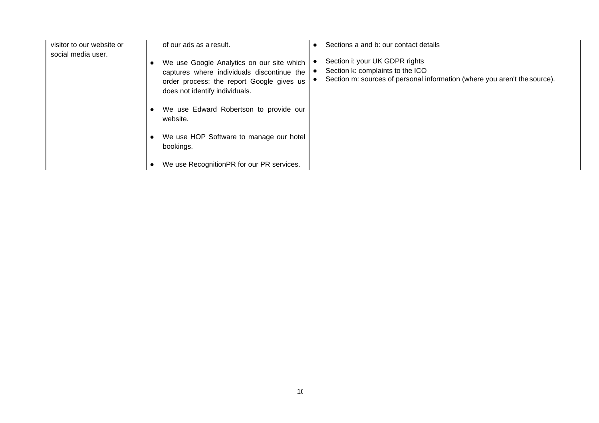| visitor to our website or<br>social media user. | of our ads as a result.<br>We use Google Analytics on our site which<br>captures where individuals discontinue the<br>order process; the report Google gives us<br>does not identify individuals. | Sections a and b: our contact details<br>Section i: your UK GDPR rights<br>Section k: complaints to the ICO<br>Section m: sources of personal information (where you aren't the source). |
|-------------------------------------------------|---------------------------------------------------------------------------------------------------------------------------------------------------------------------------------------------------|------------------------------------------------------------------------------------------------------------------------------------------------------------------------------------------|
|                                                 | We use Edward Robertson to provide our<br>website.                                                                                                                                                |                                                                                                                                                                                          |
|                                                 | We use HOP Software to manage our hotel<br>bookings.                                                                                                                                              |                                                                                                                                                                                          |
|                                                 | We use RecognitionPR for our PR services.                                                                                                                                                         |                                                                                                                                                                                          |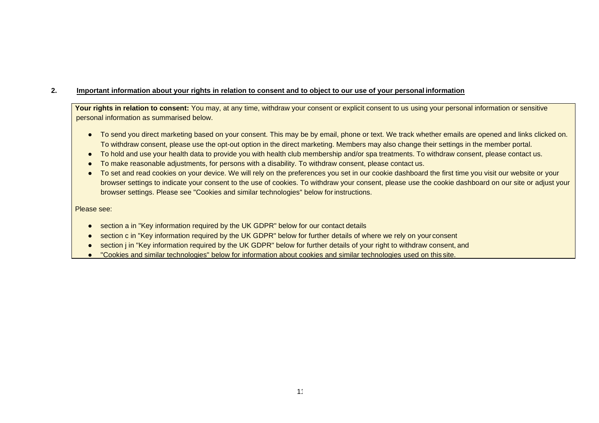# **2. Important information about your rights in relation to consent and to object to our use of your personal information**

Your rights in relation to consent: You may, at any time, withdraw your consent or explicit consent to us using your personal information or sensitive personal information as summarised below.

- To send you direct marketing based on your consent. This may be by email, phone or text. We track whether emails are opened and links clicked on. To withdraw consent, please use the opt-out option in the direct marketing. Members may also change their settings in the member portal.
- To hold and use your health data to provide you with health club membership and/or spa treatments. To withdraw consent, please contact us.
- To make reasonable adjustments, for persons with a disability. To withdraw consent, please contact us.
- To set and read cookies on your device. We will rely on the preferences you set in our cookie dashboard the first time you visit our website or your browser settings to indicate your consent to the use of cookies. To withdraw your consent, please use the cookie dashboard on our site or adjust your browser settings. Please see "Cookies and similar technologies" below for instructions.

#### Please see:

- section a in "Key information required by the UK GDPR" below for our contact details
- section c in "Key information required by the UK GDPR" below for further details of where we rely on your consent
- section *j* in "Key information required by the UK GDPR" below for further details of your right to withdraw consent, and
- "Cookies and similar technologies" below for information about cookies and similar technologies used on this site.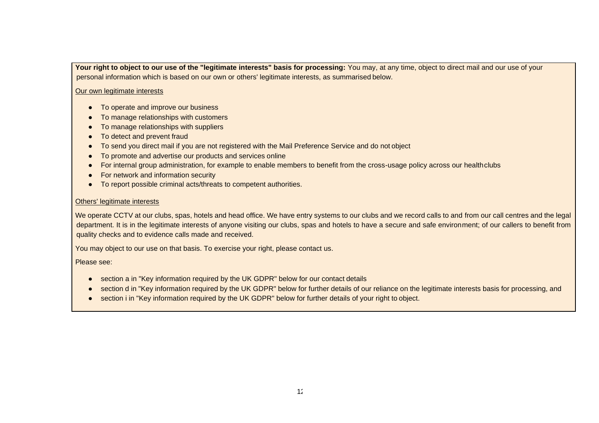Your right to object to our use of the "legitimate interests" basis for processing: You may, at any time, object to direct mail and our use of your personal information which is based on our own or others' legitimate interests, as summarised below.

#### Our own legitimate interests

- To operate and improve our business
- To manage relationships with customers
- To manage relationships with suppliers
- To detect and prevent fraud
- To send you direct mail if you are not registered with the Mail Preference Service and do not object
- To promote and advertise our products and services online
- For internal group administration, for example to enable members to benefit from the cross-usage policy across our healthclubs
- For network and information security
- To report possible criminal acts/threats to competent authorities.

## Others' legitimate interests

We operate CCTV at our clubs, spas, hotels and head office. We have entry systems to our clubs and we record calls to and from our call centres and the legal department. It is in the legitimate interests of anyone visiting our clubs, spas and hotels to have a secure and safe environment; of our callers to benefit from quality checks and to evidence calls made and received.

You may object to our use on that basis. To exercise your right, please contact us.

Please see:

- section a in "Key information required by the UK GDPR" below for our contact details
- section d in "Key information required by the UK GDPR" below for further details of our reliance on the legitimate interests basis for processing, and
- section i in "Key information required by the UK GDPR" below for further details of your right to object.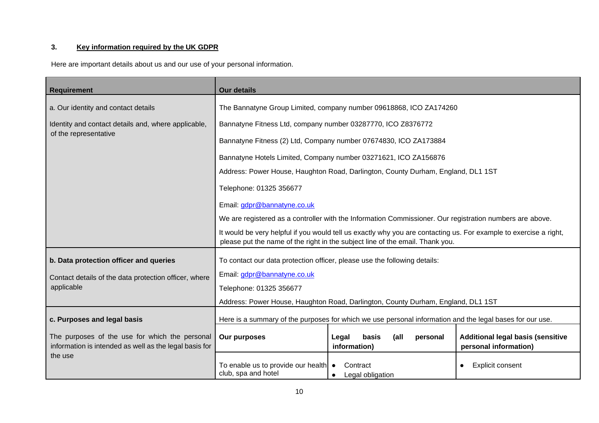# **3. Key information required by the UK GDPR**

| Here are important details about us and our use of your personal information. |  |
|-------------------------------------------------------------------------------|--|
|-------------------------------------------------------------------------------|--|

| <b>Requirement</b>                                                                                       | <b>Our details</b>                                                                                                                                                                                 |                                                                                  |                                                                   |  |
|----------------------------------------------------------------------------------------------------------|----------------------------------------------------------------------------------------------------------------------------------------------------------------------------------------------------|----------------------------------------------------------------------------------|-------------------------------------------------------------------|--|
| a. Our identity and contact details                                                                      | The Bannatyne Group Limited, company number 09618868, ICO ZA174260                                                                                                                                 |                                                                                  |                                                                   |  |
| Identity and contact details and, where applicable,                                                      |                                                                                                                                                                                                    | Bannatyne Fitness Ltd, company number 03287770, ICO Z8376772                     |                                                                   |  |
| of the representative                                                                                    | Bannatyne Fitness (2) Ltd, Company number 07674830, ICO ZA173884                                                                                                                                   |                                                                                  |                                                                   |  |
|                                                                                                          |                                                                                                                                                                                                    |                                                                                  |                                                                   |  |
|                                                                                                          |                                                                                                                                                                                                    | Bannatyne Hotels Limited, Company number 03271621, ICO ZA156876                  |                                                                   |  |
|                                                                                                          |                                                                                                                                                                                                    | Address: Power House, Haughton Road, Darlington, County Durham, England, DL1 1ST |                                                                   |  |
|                                                                                                          | Telephone: 01325 356677                                                                                                                                                                            |                                                                                  |                                                                   |  |
|                                                                                                          | Email: gdpr@bannatyne.co.uk                                                                                                                                                                        |                                                                                  |                                                                   |  |
|                                                                                                          | We are registered as a controller with the Information Commissioner. Our registration numbers are above.                                                                                           |                                                                                  |                                                                   |  |
|                                                                                                          | It would be very helpful if you would tell us exactly why you are contacting us. For example to exercise a right,<br>please put the name of the right in the subject line of the email. Thank you. |                                                                                  |                                                                   |  |
| b. Data protection officer and queries                                                                   | To contact our data protection officer, please use the following details:                                                                                                                          |                                                                                  |                                                                   |  |
|                                                                                                          | Email: gdpr@bannatyne.co.uk                                                                                                                                                                        |                                                                                  |                                                                   |  |
| Contact details of the data protection officer, where<br>applicable                                      | Telephone: 01325 356677                                                                                                                                                                            |                                                                                  |                                                                   |  |
|                                                                                                          |                                                                                                                                                                                                    |                                                                                  |                                                                   |  |
|                                                                                                          | Address: Power House, Haughton Road, Darlington, County Durham, England, DL1 1ST                                                                                                                   |                                                                                  |                                                                   |  |
| c. Purposes and legal basis                                                                              | Here is a summary of the purposes for which we use personal information and the legal bases for our use.                                                                                           |                                                                                  |                                                                   |  |
| The purposes of the use for which the personal<br>information is intended as well as the legal basis for | Our purposes                                                                                                                                                                                       | (all<br>Legal<br>basis<br>personal<br>information)                               | <b>Additional legal basis (sensitive</b><br>personal information) |  |
| the use                                                                                                  | To enable us to provide our health<br>club, spa and hotel                                                                                                                                          | Contract<br>$\bullet$<br>Legal obligation<br>$\bullet$                           | <b>Explicit consent</b>                                           |  |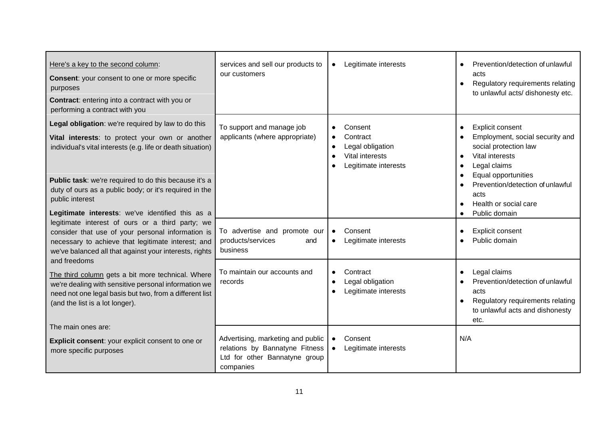| Here's a key to the second column:<br><b>Consent:</b> your consent to one or more specific<br>purposes<br><b>Contract:</b> entering into a contract with you or<br>performing a contract with you                       | services and sell our products to<br>our customers                                                                | Legitimate interests<br>$\bullet$                                                                                         | Prevention/detection of unlawful<br>acts<br>Regulatory requirements relating<br>to unlawful acts/ dishonesty etc.                       |
|-------------------------------------------------------------------------------------------------------------------------------------------------------------------------------------------------------------------------|-------------------------------------------------------------------------------------------------------------------|---------------------------------------------------------------------------------------------------------------------------|-----------------------------------------------------------------------------------------------------------------------------------------|
| Legal obligation: we're required by law to do this<br>Vital interests: to protect your own or another<br>individual's vital interests (e.g. life or death situation)                                                    | To support and manage job<br>applicants (where appropriate)                                                       | Consent<br>$\bullet$<br>Contract<br>$\bullet$<br>Legal obligation<br>$\bullet$<br>Vital interests<br>Legitimate interests | <b>Explicit consent</b><br>Employment, social security and<br>social protection law<br>Vital interests<br>Legal claims                  |
| Public task: we're required to do this because it's a<br>duty of ours as a public body; or it's required in the<br>public interest<br>Legitimate interests: we've identified this as a                                  |                                                                                                                   |                                                                                                                           | Equal opportunities<br>Prevention/detection of unlawful<br>acts<br>Health or social care<br>Public domain                               |
| legitimate interest of ours or a third party; we<br>consider that use of your personal information is<br>necessary to achieve that legitimate interest; and<br>we've balanced all that against your interests, rights   | To advertise and promote our<br>products/services<br>and<br>business                                              | Consent<br>$\bullet$<br>Legitimate interests                                                                              | Explicit consent<br>Public domain                                                                                                       |
| and freedoms<br>The third column gets a bit more technical. Where<br>we're dealing with sensitive personal information we<br>need not one legal basis but two, from a different list<br>(and the list is a lot longer). | To maintain our accounts and<br>records                                                                           | Contract<br>$\bullet$<br>Legal obligation<br>$\bullet$<br>Legitimate interests                                            | Legal claims<br>Prevention/detection of unlawful<br>acts<br>Regulatory requirements relating<br>to unlawful acts and dishonesty<br>etc. |
| The main ones are:<br>Explicit consent: your explicit consent to one or<br>more specific purposes                                                                                                                       | Advertising, marketing and public<br>relations by Bannatyne Fitness<br>Ltd for other Bannatyne group<br>companies | Consent<br>$\bullet$<br>Legitimate interests<br>$\bullet$                                                                 | N/A                                                                                                                                     |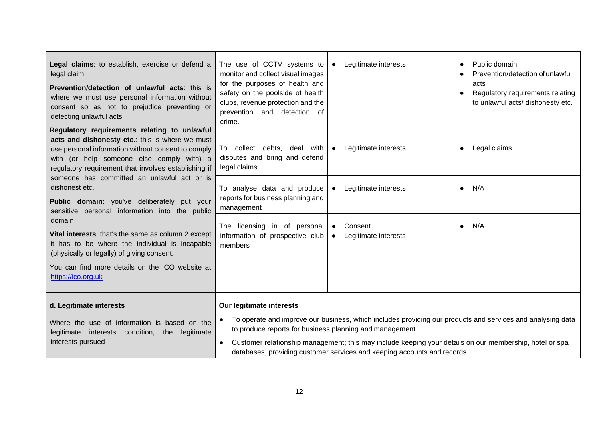| Legal claims: to establish, exercise or defend a<br>legal claim<br>Prevention/detection of unlawful acts: this is<br>where we must use personal information without<br>consent so as not to prejudice preventing or<br>detecting unlawful acts<br>Regulatory requirements relating to unlawful                                                                                                           | The use of CCTV systems to<br>monitor and collect visual images<br>for the purposes of health and<br>safety on the poolside of health<br>clubs, revenue protection and the<br>prevention and detection of<br>crime. | Legitimate interests                                                                                                                                                                                                                                                                             | Public domain<br>Prevention/detection of unlawful<br>acts<br>Regulatory requirements relating<br>$\bullet$<br>to unlawful acts/ dishonesty etc. |
|----------------------------------------------------------------------------------------------------------------------------------------------------------------------------------------------------------------------------------------------------------------------------------------------------------------------------------------------------------------------------------------------------------|---------------------------------------------------------------------------------------------------------------------------------------------------------------------------------------------------------------------|--------------------------------------------------------------------------------------------------------------------------------------------------------------------------------------------------------------------------------------------------------------------------------------------------|-------------------------------------------------------------------------------------------------------------------------------------------------|
| acts and dishonesty etc.: this is where we must<br>use personal information without consent to comply<br>with (or help someone else comply with) a<br>regulatory requirement that involves establishing if                                                                                                                                                                                               | To collect debts, deal with<br>disputes and bring and defend<br>legal claims                                                                                                                                        | Legitimate interests<br>$\bullet$                                                                                                                                                                                                                                                                | Legal claims<br>$\bullet$                                                                                                                       |
| someone has committed an unlawful act or is<br>dishonest etc.<br>Public domain: you've deliberately put your<br>sensitive personal information into the public<br>domain<br>Vital interests: that's the same as column 2 except<br>it has to be where the individual is incapable<br>(physically or legally) of giving consent.<br>You can find more details on the ICO website at<br>https://ico.org.uk | To analyse data and produce<br>reports for business planning and<br>management<br>The licensing in of personal<br>information of prospective club<br>members                                                        | Legitimate interests<br>$\bullet$<br>Consent<br>$\bullet$<br>Legitimate interests<br>$\bullet$                                                                                                                                                                                                   | N/A<br>$\bullet$<br>N/A<br>$\bullet$                                                                                                            |
| d. Legitimate interests<br>Where the use of information is based on the<br>legitimate interests<br>condition,<br>the<br>legitimate<br>interests pursued                                                                                                                                                                                                                                                  | Our legitimate interests<br>to produce reports for business planning and management<br>$\bullet$                                                                                                                    | To operate and improve our business, which includes providing our products and services and analysing data<br>Customer relationship management; this may include keeping your details on our membership, hotel or spa<br>databases, providing customer services and keeping accounts and records |                                                                                                                                                 |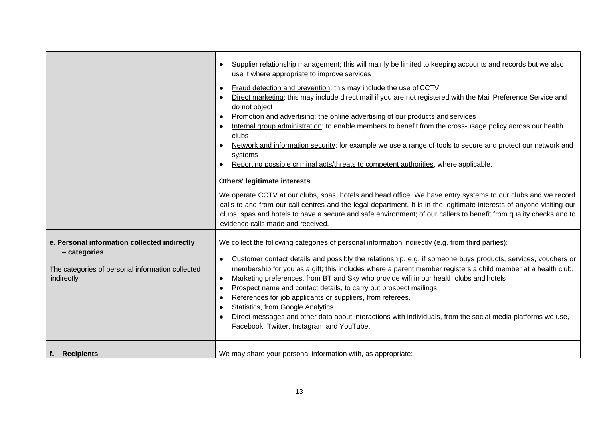|                                                                                                                                | Supplier relationship management; this will mainly be limited to keeping accounts and records but we also<br>use it where appropriate to improve services<br>Fraud detection and prevention: this may include the use of CCTV<br>Direct marketing: this may include direct mail if you are not registered with the Mail Preference Service and<br>do not object<br>Promotion and advertising: the online advertising of our products and services<br>Internal group administration: to enable members to benefit from the cross-usage policy across our health<br>clubs<br>Network and information security; for example we use a range of tools to secure and protect our network and<br>systems<br>Reporting possible criminal acts/threats to competent authorities, where applicable.<br><b>Others' legitimate interests</b><br>We operate CCTV at our clubs, spas, hotels and head office. We have entry systems to our clubs and we record<br>calls to and from our call centres and the legal department. It is in the legitimate interests of anyone visiting our<br>clubs, spas and hotels to have a secure and safe environment; of our callers to benefit from quality checks and to<br>evidence calls made and received. |  |
|--------------------------------------------------------------------------------------------------------------------------------|--------------------------------------------------------------------------------------------------------------------------------------------------------------------------------------------------------------------------------------------------------------------------------------------------------------------------------------------------------------------------------------------------------------------------------------------------------------------------------------------------------------------------------------------------------------------------------------------------------------------------------------------------------------------------------------------------------------------------------------------------------------------------------------------------------------------------------------------------------------------------------------------------------------------------------------------------------------------------------------------------------------------------------------------------------------------------------------------------------------------------------------------------------------------------------------------------------------------------------------|--|
| e. Personal information collected indirectly<br>- categories<br>The categories of personal information collected<br>indirectly | We collect the following categories of personal information indirectly (e.g. from third parties):<br>Customer contact details and possibly the relationship, e.g. if someone buys products, services, vouchers or<br>membership for you as a gift; this includes where a parent member registers a child member at a health club.<br>Marketing preferences, from BT and Sky who provide wifi in our health clubs and hotels<br>$\bullet$<br>Prospect name and contact details, to carry out prospect mailings.<br>$\bullet$<br>References for job applicants or suppliers, from referees.<br>Statistics, from Google Analytics.<br>Direct messages and other data about interactions with individuals, from the social media platforms we use,<br>Facebook, Twitter, Instagram and YouTube.                                                                                                                                                                                                                                                                                                                                                                                                                                          |  |
| f. Recipients                                                                                                                  | We may share your personal information with, as appropriate:                                                                                                                                                                                                                                                                                                                                                                                                                                                                                                                                                                                                                                                                                                                                                                                                                                                                                                                                                                                                                                                                                                                                                                         |  |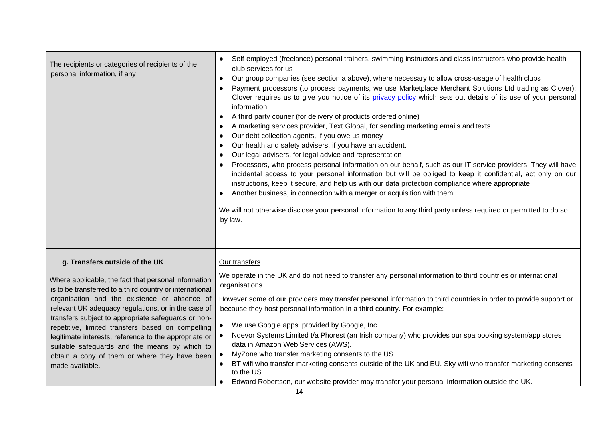| The recipients or categories of recipients of the<br>personal information, if any                                                                                                                                                                                                                                                                                                                                                                                                                                                                   | Self-employed (freelance) personal trainers, swimming instructors and class instructors who provide health<br>$\bullet$<br>club services for us<br>Our group companies (see section a above), where necessary to allow cross-usage of health clubs<br>$\bullet$<br>Payment processors (to process payments, we use Marketplace Merchant Solutions Ltd trading as Clover);<br>Clover requires us to give you notice of its privacy policy which sets out details of its use of your personal<br>information<br>A third party courier (for delivery of products ordered online)<br>$\bullet$<br>A marketing services provider, Text Global, for sending marketing emails and texts<br>$\bullet$<br>Our debt collection agents, if you owe us money<br>٠<br>Our health and safety advisers, if you have an accident.<br>٠<br>Our legal advisers, for legal advice and representation<br>$\bullet$<br>Processors, who process personal information on our behalf, such as our IT service providers. They will have<br>incidental access to your personal information but will be obliged to keep it confidential, act only on our<br>instructions, keep it secure, and help us with our data protection compliance where appropriate<br>Another business, in connection with a merger or acquisition with them.<br>We will not otherwise disclose your personal information to any third party unless required or permitted to do so<br>by law. |
|-----------------------------------------------------------------------------------------------------------------------------------------------------------------------------------------------------------------------------------------------------------------------------------------------------------------------------------------------------------------------------------------------------------------------------------------------------------------------------------------------------------------------------------------------------|---------------------------------------------------------------------------------------------------------------------------------------------------------------------------------------------------------------------------------------------------------------------------------------------------------------------------------------------------------------------------------------------------------------------------------------------------------------------------------------------------------------------------------------------------------------------------------------------------------------------------------------------------------------------------------------------------------------------------------------------------------------------------------------------------------------------------------------------------------------------------------------------------------------------------------------------------------------------------------------------------------------------------------------------------------------------------------------------------------------------------------------------------------------------------------------------------------------------------------------------------------------------------------------------------------------------------------------------------------------------------------------------------------------------------------------------|
| g. Transfers outside of the UK<br>Where applicable, the fact that personal information<br>is to be transferred to a third country or international<br>organisation and the existence or absence of<br>relevant UK adequacy regulations, or in the case of<br>transfers subject to appropriate safeguards or non-<br>repetitive, limited transfers based on compelling<br>legitimate interests, reference to the appropriate or<br>suitable safeguards and the means by which to<br>obtain a copy of them or where they have been<br>made available. | Our transfers<br>We operate in the UK and do not need to transfer any personal information to third countries or international<br>organisations.<br>However some of our providers may transfer personal information to third countries in order to provide support or<br>because they host personal information in a third country. For example:<br>We use Google apps, provided by Google, Inc.<br>Ndevor Systems Limited t/a Phorest (an Irish company) who provides our spa booking system/app stores<br>data in Amazon Web Services (AWS).<br>MyZone who transfer marketing consents to the US<br>BT wifi who transfer marketing consents outside of the UK and EU. Sky wifi who transfer marketing consents<br>to the US.<br>Edward Robertson, our website provider may transfer your personal information outside the UK.                                                                                                                                                                                                                                                                                                                                                                                                                                                                                                                                                                                                             |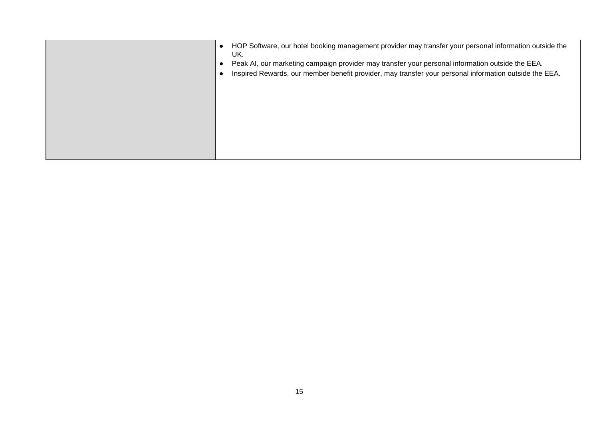|  | HOP Software, our hotel booking management provider may transfer your personal information outside the<br>Peak AI, our marketing campaign provider may transfer your personal information outside the EEA.<br>Inspired Rewards, our member benefit provider, may transfer your personal information outside the EEA. |
|--|----------------------------------------------------------------------------------------------------------------------------------------------------------------------------------------------------------------------------------------------------------------------------------------------------------------------|
|  |                                                                                                                                                                                                                                                                                                                      |
|  |                                                                                                                                                                                                                                                                                                                      |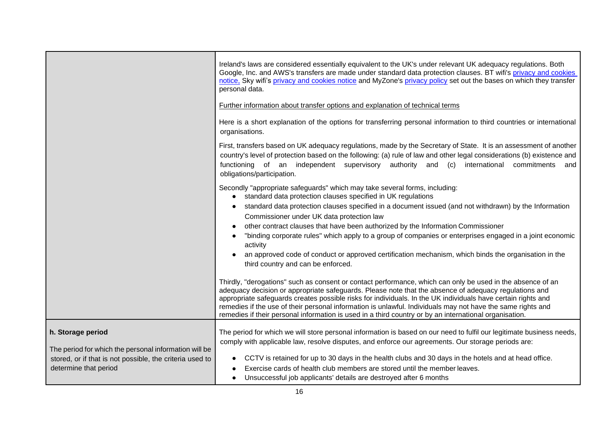|                                                                                                                                                                 | Ireland's laws are considered essentially equivalent to the UK's under relevant UK adequacy regulations. Both<br>Google, Inc. and AWS's transfers are made under standard data protection clauses. BT wifi's privacy and cookies<br>notice, Sky wifi's privacy and cookies notice and MyZone's privacy policy set out the bases on which they transfer<br>personal data.<br>Further information about transfer options and explanation of technical terms<br>Here is a short explanation of the options for transferring personal information to third countries or international<br>organisations.<br>First, transfers based on UK adequacy regulations, made by the Secretary of State. It is an assessment of another<br>country's level of protection based on the following: (a) rule of law and other legal considerations (b) existence and<br>functioning of an independent supervisory authority and (c) international commitments<br>and |
|-----------------------------------------------------------------------------------------------------------------------------------------------------------------|----------------------------------------------------------------------------------------------------------------------------------------------------------------------------------------------------------------------------------------------------------------------------------------------------------------------------------------------------------------------------------------------------------------------------------------------------------------------------------------------------------------------------------------------------------------------------------------------------------------------------------------------------------------------------------------------------------------------------------------------------------------------------------------------------------------------------------------------------------------------------------------------------------------------------------------------------|
|                                                                                                                                                                 | obligations/participation.<br>Secondly "appropriate safeguards" which may take several forms, including:<br>standard data protection clauses specified in UK regulations<br>standard data protection clauses specified in a document issued (and not withdrawn) by the Information<br>Commissioner under UK data protection law<br>other contract clauses that have been authorized by the Information Commissioner<br>"binding corporate rules" which apply to a group of companies or enterprises engaged in a joint economic<br>activity<br>an approved code of conduct or approved certification mechanism, which binds the organisation in the<br>third country and can be enforced.                                                                                                                                                                                                                                                          |
|                                                                                                                                                                 | Thirdly, "derogations" such as consent or contact performance, which can only be used in the absence of an<br>adequacy decision or appropriate safeguards. Please note that the absence of adequacy regulations and<br>appropriate safeguards creates possible risks for individuals. In the UK individuals have certain rights and<br>remedies if the use of their personal information is unlawful. Individuals may not have the same rights and<br>remedies if their personal information is used in a third country or by an international organisation.                                                                                                                                                                                                                                                                                                                                                                                       |
| h. Storage period<br>The period for which the personal information will be<br>stored, or if that is not possible, the criteria used to<br>determine that period | The period for which we will store personal information is based on our need to fulfil our legitimate business needs,<br>comply with applicable law, resolve disputes, and enforce our agreements. Our storage periods are:<br>CCTV is retained for up to 30 days in the health clubs and 30 days in the hotels and at head office.<br>Exercise cards of health club members are stored until the member leaves.<br>Unsuccessful job applicants' details are destroyed after 6 months                                                                                                                                                                                                                                                                                                                                                                                                                                                              |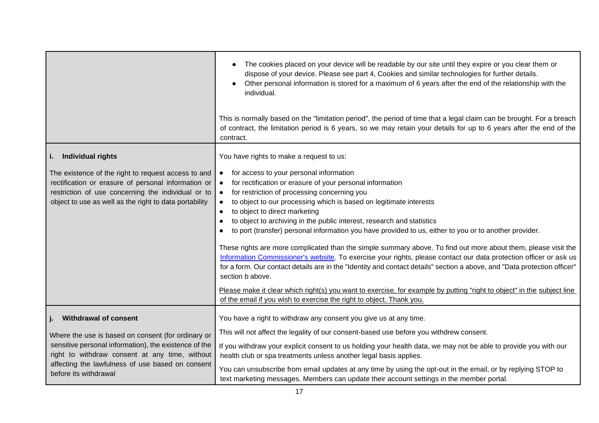|                                                                                                                                                                                                                                            | The cookies placed on your device will be readable by our site until they expire or you clear them or<br>dispose of your device. Please see part 4, Cookies and similar technologies for further details.<br>Other personal information is stored for a maximum of 6 years after the end of the relationship with the<br>individual.<br>This is normally based on the "limitation period", the period of time that a legal claim can be brought. For a breach<br>of contract, the limitation period is 6 years, so we may retain your details for up to 6 years after the end of the<br>contract.                                                                                                                                                                                                                                                                                                                                                                                                                                                                                                                                   |
|--------------------------------------------------------------------------------------------------------------------------------------------------------------------------------------------------------------------------------------------|-------------------------------------------------------------------------------------------------------------------------------------------------------------------------------------------------------------------------------------------------------------------------------------------------------------------------------------------------------------------------------------------------------------------------------------------------------------------------------------------------------------------------------------------------------------------------------------------------------------------------------------------------------------------------------------------------------------------------------------------------------------------------------------------------------------------------------------------------------------------------------------------------------------------------------------------------------------------------------------------------------------------------------------------------------------------------------------------------------------------------------------|
| Individual rights                                                                                                                                                                                                                          | You have rights to make a request to us:                                                                                                                                                                                                                                                                                                                                                                                                                                                                                                                                                                                                                                                                                                                                                                                                                                                                                                                                                                                                                                                                                            |
| The existence of the right to request access to and<br>rectification or erasure of personal information or<br>restriction of use concerning the individual or to<br>object to use as well as the right to data portability                 | for access to your personal information<br>$\bullet$<br>for rectification or erasure of your personal information<br>$\bullet$<br>for restriction of processing concerning you<br>$\bullet$<br>to object to our processing which is based on legitimate interests<br>$\bullet$<br>to object to direct marketing<br>$\bullet$<br>to object to archiving in the public interest, research and statistics<br>$\bullet$<br>to port (transfer) personal information you have provided to us, either to you or to another provider.<br>$\bullet$<br>These rights are more complicated than the simple summary above. To find out more about them, please visit the<br>Information Commissioner's website. To exercise your rights, please contact our data protection officer or ask us<br>for a form. Our contact details are in the "Identity and contact details" section a above, and "Data protection officer"<br>section b above.<br>Please make it clear which right(s) you want to exercise, for example by putting "right to object" in the subject line<br>of the email if you wish to exercise the right to object. Thank you. |
| <b>Withdrawal of consent</b>                                                                                                                                                                                                               | You have a right to withdraw any consent you give us at any time.                                                                                                                                                                                                                                                                                                                                                                                                                                                                                                                                                                                                                                                                                                                                                                                                                                                                                                                                                                                                                                                                   |
| Where the use is based on consent (for ordinary or<br>sensitive personal information), the existence of the<br>right to withdraw consent at any time, without<br>affecting the lawfulness of use based on consent<br>before its withdrawal | This will not affect the legality of our consent-based use before you withdrew consent.<br>If you withdraw your explicit consent to us holding your health data, we may not be able to provide you with our<br>health club or spa treatments unless another legal basis applies.<br>You can unsubscribe from email updates at any time by using the opt-out in the email, or by replying STOP to<br>text marketing messages. Members can update their account settings in the member portal.                                                                                                                                                                                                                                                                                                                                                                                                                                                                                                                                                                                                                                        |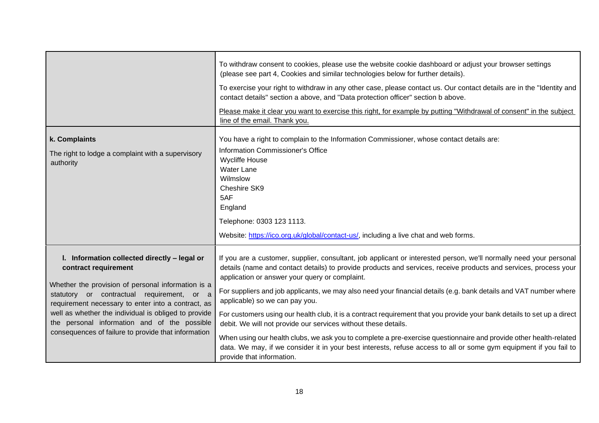|                                                                                                                                                                                                                                                                                                                                                                                               | To withdraw consent to cookies, please use the website cookie dashboard or adjust your browser settings<br>(please see part 4, Cookies and similar technologies below for further details).<br>To exercise your right to withdraw in any other case, please contact us. Our contact details are in the "Identity and<br>contact details" section a above, and "Data protection officer" section b above.<br>Please make it clear you want to exercise this right, for example by putting "Withdrawal of consent" in the subject<br>line of the email. Thank you.                                                                                                                                                                                                                                                                                                                                                    |
|-----------------------------------------------------------------------------------------------------------------------------------------------------------------------------------------------------------------------------------------------------------------------------------------------------------------------------------------------------------------------------------------------|---------------------------------------------------------------------------------------------------------------------------------------------------------------------------------------------------------------------------------------------------------------------------------------------------------------------------------------------------------------------------------------------------------------------------------------------------------------------------------------------------------------------------------------------------------------------------------------------------------------------------------------------------------------------------------------------------------------------------------------------------------------------------------------------------------------------------------------------------------------------------------------------------------------------|
| k. Complaints<br>The right to lodge a complaint with a supervisory<br>authority                                                                                                                                                                                                                                                                                                               | You have a right to complain to the Information Commissioner, whose contact details are:<br>Information Commissioner's Office<br><b>Wycliffe House</b><br><b>Water Lane</b><br>Wilmslow<br>Cheshire SK9<br>5AF<br>England<br>Telephone: 0303 123 1113.<br>Website: https://ico.org.uk/global/contact-us/, including a live chat and web forms.                                                                                                                                                                                                                                                                                                                                                                                                                                                                                                                                                                      |
| I. Information collected directly - legal or<br>contract requirement<br>Whether the provision of personal information is a<br>statutory or contractual requirement, or a<br>requirement necessary to enter into a contract, as<br>well as whether the individual is obliged to provide<br>the personal information and of the possible<br>consequences of failure to provide that information | If you are a customer, supplier, consultant, job applicant or interested person, we'll normally need your personal<br>details (name and contact details) to provide products and services, receive products and services, process your<br>application or answer your query or complaint.<br>For suppliers and job applicants, we may also need your financial details (e.g. bank details and VAT number where<br>applicable) so we can pay you.<br>For customers using our health club, it is a contract requirement that you provide your bank details to set up a direct<br>debit. We will not provide our services without these details.<br>When using our health clubs, we ask you to complete a pre-exercise questionnaire and provide other health-related<br>data. We may, if we consider it in your best interests, refuse access to all or some gym equipment if you fail to<br>provide that information. |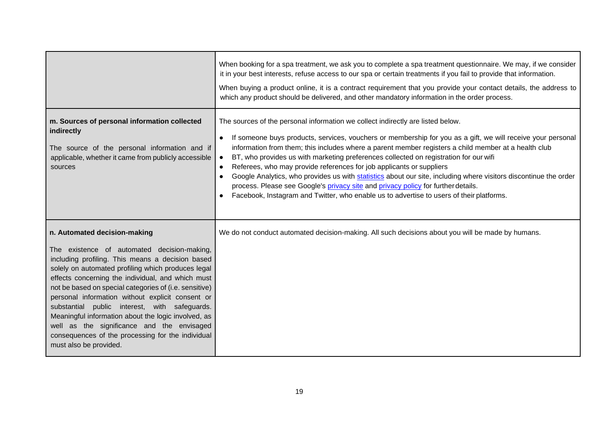|                                                                                                                                                                                                                                                                                                                                                                                                                                                                                                                                                                                               | When booking for a spa treatment, we ask you to complete a spa treatment questionnaire. We may, if we consider<br>it in your best interests, refuse access to our spa or certain treatments if you fail to provide that information.<br>When buying a product online, it is a contract requirement that you provide your contact details, the address to<br>which any product should be delivered, and other mandatory information in the order process.                                                                                                                                                                                                                                                                                                                                                                                      |
|-----------------------------------------------------------------------------------------------------------------------------------------------------------------------------------------------------------------------------------------------------------------------------------------------------------------------------------------------------------------------------------------------------------------------------------------------------------------------------------------------------------------------------------------------------------------------------------------------|-----------------------------------------------------------------------------------------------------------------------------------------------------------------------------------------------------------------------------------------------------------------------------------------------------------------------------------------------------------------------------------------------------------------------------------------------------------------------------------------------------------------------------------------------------------------------------------------------------------------------------------------------------------------------------------------------------------------------------------------------------------------------------------------------------------------------------------------------|
| m. Sources of personal information collected<br>indirectly<br>The source of the personal information and if<br>applicable, whether it came from publicly accessible<br>sources                                                                                                                                                                                                                                                                                                                                                                                                                | The sources of the personal information we collect indirectly are listed below.<br>If someone buys products, services, vouchers or membership for you as a gift, we will receive your personal<br>$\bullet$<br>information from them; this includes where a parent member registers a child member at a health club<br>BT, who provides us with marketing preferences collected on registration for our wifi<br>$\bullet$<br>Referees, who may provide references for job applicants or suppliers<br>$\bullet$<br>Google Analytics, who provides us with statistics about our site, including where visitors discontinue the order<br>$\bullet$<br>process. Please see Google's privacy site and privacy policy for further details.<br>Facebook, Instagram and Twitter, who enable us to advertise to users of their platforms.<br>$\bullet$ |
| n. Automated decision-making<br>The existence of automated decision-making,<br>including profiling. This means a decision based<br>solely on automated profiling which produces legal<br>effects concerning the individual, and which must<br>not be based on special categories of (i.e. sensitive)<br>personal information without explicit consent or<br>substantial public interest, with safeguards.<br>Meaningful information about the logic involved, as<br>well as the significance and the envisaged<br>consequences of the processing for the individual<br>must also be provided. | We do not conduct automated decision-making. All such decisions about you will be made by humans.                                                                                                                                                                                                                                                                                                                                                                                                                                                                                                                                                                                                                                                                                                                                             |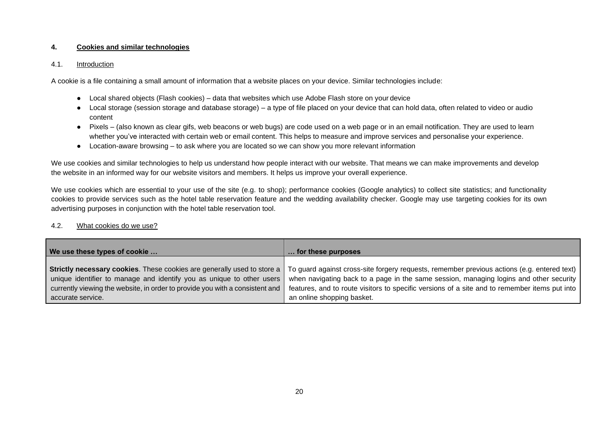## **4. Cookies and similar technologies**

#### 4.1. Introduction

A cookie is a file containing a small amount of information that a website places on your device. Similar technologies include:

- Local shared objects (Flash cookies) data that websites which use Adobe Flash store on your device
- Local storage (session storage and database storage) a type of file placed on your device that can hold data, often related to video or audio content
- Pixels (also known as clear gifs, web beacons or web bugs) are code used on a web page or in an email notification. They are used to learn whether you've interacted with certain web or email content. This helps to measure and improve services and personalise your experience.
- Location-aware browsing to ask where you are located so we can show you more relevant information

We use cookies and similar technologies to help us understand how people interact with our website. That means we can make improvements and develop the website in an informed way for our website visitors and members. It helps us improve your overall experience.

We use cookies which are essential to your use of the site (e.g. to shop); performance cookies (Google analytics) to collect site statistics; and functionality cookies to provide services such as the hotel table reservation feature and the wedding availability checker. Google may use targeting cookies for its own advertising purposes in conjunction with the hotel table reservation tool.

#### 4.2. What cookies do we use?

| We use these types of cookie                                                 | for these purposes                                                                            |
|------------------------------------------------------------------------------|-----------------------------------------------------------------------------------------------|
|                                                                              |                                                                                               |
| Strictly necessary cookies. These cookies are generally used to store a      | To guard against cross-site forgery requests, remember previous actions (e.g. entered text)   |
| unique identifier to manage and identify you as unique to other users        | when navigating back to a page in the same session, managing logins and other security        |
| currently viewing the website, in order to provide you with a consistent and | features, and to route visitors to specific versions of a site and to remember items put into |
| accurate service.                                                            | an online shopping basket.                                                                    |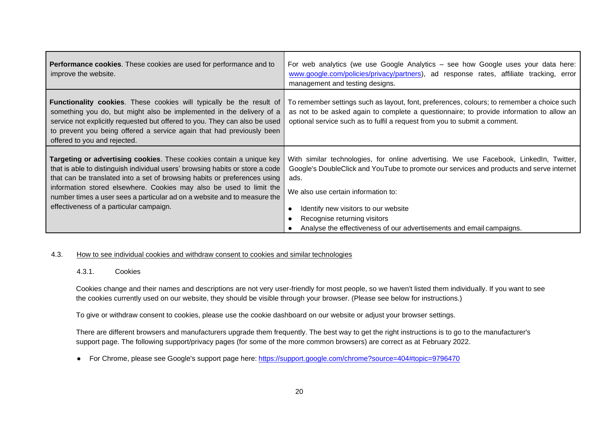| Performance cookies. These cookies are used for performance and to<br>improve the website.                                                                                                                                                                                                                                                                                                                                       | For web analytics (we use Google Analytics – see how Google uses your data here:<br>www.google.com/policies/privacy/partners), ad response rates, affiliate tracking, error<br>management and testing designs.                                                                                                                                                                    |
|----------------------------------------------------------------------------------------------------------------------------------------------------------------------------------------------------------------------------------------------------------------------------------------------------------------------------------------------------------------------------------------------------------------------------------|-----------------------------------------------------------------------------------------------------------------------------------------------------------------------------------------------------------------------------------------------------------------------------------------------------------------------------------------------------------------------------------|
| <b>Functionality cookies.</b> These cookies will typically be the result of<br>something you do, but might also be implemented in the delivery of a<br>service not explicitly requested but offered to you. They can also be used<br>to prevent you being offered a service again that had previously been<br>offered to you and rejected.                                                                                       | To remember settings such as layout, font, preferences, colours; to remember a choice such<br>as not to be asked again to complete a questionnaire; to provide information to allow an<br>optional service such as to fulfil a request from you to submit a comment.                                                                                                              |
| Targeting or advertising cookies. These cookies contain a unique key<br>that is able to distinguish individual users' browsing habits or store a code<br>that can be translated into a set of browsing habits or preferences using<br>information stored elsewhere. Cookies may also be used to limit the<br>number times a user sees a particular ad on a website and to measure the<br>effectiveness of a particular campaign. | With similar technologies, for online advertising. We use Facebook, LinkedIn, Twitter,<br>Google's DoubleClick and YouTube to promote our services and products and serve internet<br>ads.<br>We also use certain information to:<br>Identify new visitors to our website<br>Recognise returning visitors<br>Analyse the effectiveness of our advertisements and email campaigns. |

## 4.3. How to see individual cookies and withdraw consent to cookies and similar technologies

#### 4.3.1. Cookies

Cookies change and their names and descriptions are not very user-friendly for most people, so we haven't listed them individually. If you want to see the cookies currently used on our website, they should be visible through your browser. (Please see below for instructions.)

To give or withdraw consent to cookies, please use the cookie dashboard on our website or adjust your browser settings.

There are different browsers and manufacturers upgrade them frequently. The best way to get the right instructions is to go to the manufacturer's support page. The following support/privacy pages (for some of the more common browsers) are correct as at February 2022.

● For Chrome, please see Google's support page here: <https://support.google.com/chrome?source=404#topic=9796470>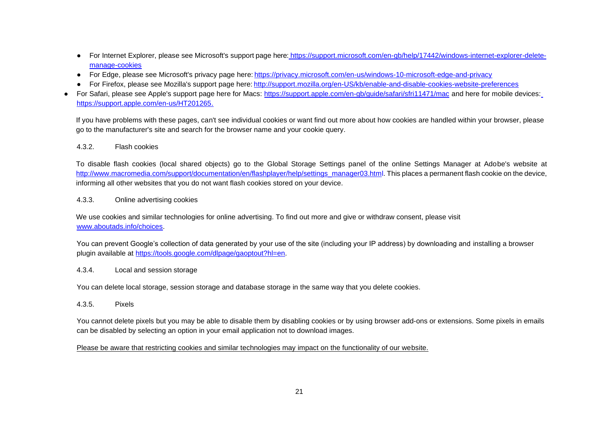- For Internet Explorer, please see Microsoft's support page here: [https://support.microsoft.com/en-gb/help/17442/windows-internet-explorer-delete](https://support.microsoft.com/en-gb/help/17442/windows-internet-explorer-delete-manage-cookies)[manage-cookies](https://support.microsoft.com/en-gb/help/17442/windows-internet-explorer-delete-manage-cookies)
- For Edge, please see Microsoft's privacy page here: <https://privacy.microsoft.com/en-us/windows-10-microsoft-edge-and-privacy>
- For Firefox, please see Mozilla's support page here: <http://support.mozilla.org/en-US/kb/enable-and-disable-cookies-website-preferences>
- For Safari, please see Apple's support page here for Macs: <https://support.apple.com/en-gb/guide/safari/sfri11471/mac> and here for mobile devices[:](https://support.apple.com/en-us/HT201265) [https://support.apple.com/en-us/HT201265.](https://support.apple.com/en-us/HT201265)

If you have problems with these pages, can't see individual cookies or want find out more about how cookies are handled within your browser, please go to the manufacturer's site and search for the browser name and your cookie query.

## 4.3.2. Flash cookies

To disable flash cookies (local shared objects) go to the Global Storage Settings panel of the online Settings Manager at Adobe's website at [http://www.macromedia.com/support/documentation/en/flashplayer/help/settings\\_manager03.html.](http://www.macromedia.com/support/documentation/en/flashplayer/help/settings_manager03.html) This places a permanent flash cookie on the device, informing all other websites that you do not want flash cookies stored on your device.

#### 4.3.3. Online advertising cookies

We use cookies and similar technologies for online advertising. To find out more and give or withdraw consent, please visit [www.aboutads.info/choices.](http://www.aboutads.info/choices)

You can prevent Google's collection of data generated by your use of the site (including your IP address) by downloading and installing a browser plugin available at [https://tools.google.com/dlpage/gaoptout?hl=en.](https://tools.google.com/dlpage/gaoptout?hl=en)

#### 4.3.4. Local and session storage

You can delete local storage, session storage and database storage in the same way that you delete cookies.

## 4.3.5. Pixels

You cannot delete pixels but you may be able to disable them by disabling cookies or by using browser add-ons or extensions. Some pixels in emails can be disabled by selecting an option in your email application not to download images.

Please be aware that restricting cookies and similar technologies may impact on the functionality of our website.